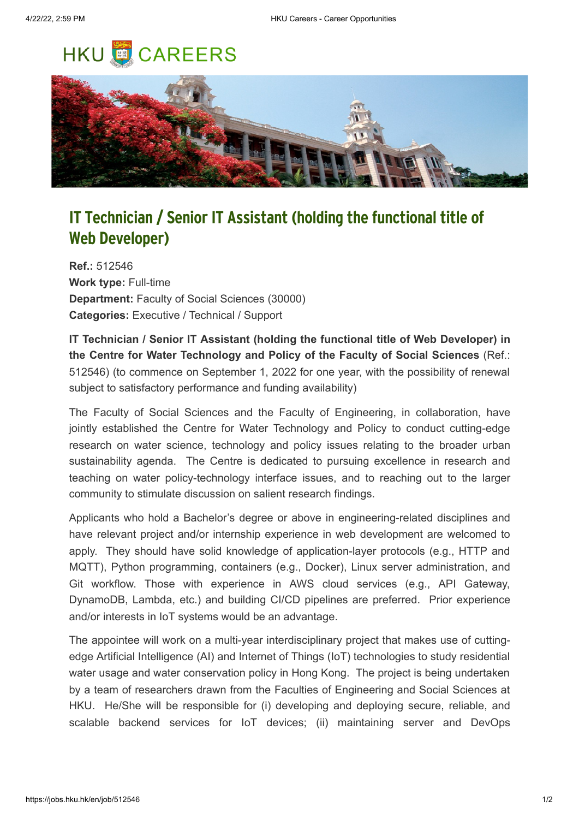## **HKU CAREERS**



## **IT Technician / Senior IT Assistant (holding the functional title of Web Developer)**

**Ref.:** 512546 **Work type:** Full-time **Department:** Faculty of Social Sciences (30000) **Categories:** Executive / Technical / Support

**IT Technician / Senior IT Assistant (holding the functional title of Web Developer) in the Centre for Water Technology and Policy of the Faculty of Social Sciences** (Ref.: 512546) (to commence on September 1, 2022 for one year, with the possibility of renewal subject to satisfactory performance and funding availability)

The Faculty of Social Sciences and the Faculty of Engineering, in collaboration, have jointly established the Centre for Water Technology and Policy to conduct cutting-edge research on water science, technology and policy issues relating to the broader urban sustainability agenda. The Centre is dedicated to pursuing excellence in research and teaching on water policy-technology interface issues, and to reaching out to the larger community to stimulate discussion on salient research findings.

Applicants who hold a Bachelor's degree or above in engineering-related disciplines and have relevant project and/or internship experience in web development are welcomed to apply. They should have solid knowledge of application-layer protocols (e.g., HTTP and MQTT), Python programming, containers (e.g., Docker), Linux server administration, and Git workflow. Those with experience in AWS cloud services (e.g., API Gateway, DynamoDB, Lambda, etc.) and building CI/CD pipelines are preferred. Prior experience and/or interests in IoT systems would be an advantage.

The appointee will work on a multi-year interdisciplinary project that makes use of cuttingedge Artificial Intelligence (AI) and Internet of Things (IoT) technologies to study residential water usage and water conservation policy in Hong Kong. The project is being undertaken by a team of researchers drawn from the Faculties of Engineering and Social Sciences at HKU. He/She will be responsible for (i) developing and deploying secure, reliable, and scalable backend services for IoT devices; (ii) maintaining server and DevOps